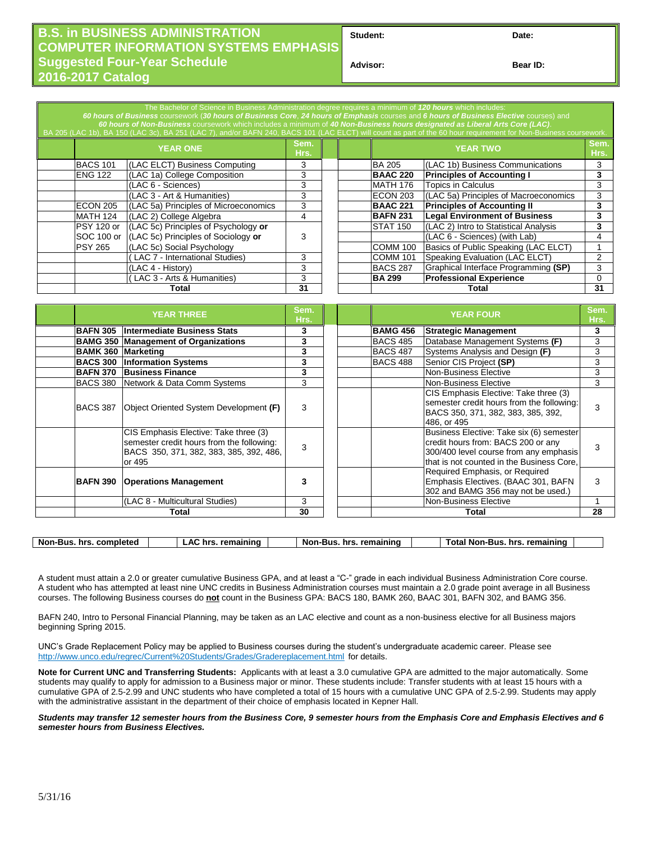## **B.S. in BUSINESS ADMINISTRATION COMPUTER INFORMATION SYSTEMS EMPHASIS Suggested Four-Year Schedule 2016-2017 Catalog**

Student: Date:

**Advisor: Bear ID:** 

| The Bachelor of Science in Business Administration degree requires a minimum of 120 hours which includes:<br>60 hours of Business coursework (30 hours of Business Core, 24 hours of Emphasis courses and 6 hours of Business Elective courses) and<br>60 hours of Non-Business coursework which includes a minimum of 40 Non-Business hours designated as Liberal Arts Core (LAC).<br>BA 205 (LAC 1b), BA 150 (LAC 3c), BA 251 (LAC 7), and/or BAFN 240, BACS 101 (LAC ELCT) will count as part of the 60 hour requirement for Non-Business coursework. |                 |                                       |              |  |  |                                  |                                       |              |
|----------------------------------------------------------------------------------------------------------------------------------------------------------------------------------------------------------------------------------------------------------------------------------------------------------------------------------------------------------------------------------------------------------------------------------------------------------------------------------------------------------------------------------------------------------|-----------------|---------------------------------------|--------------|--|--|----------------------------------|---------------------------------------|--------------|
|                                                                                                                                                                                                                                                                                                                                                                                                                                                                                                                                                          |                 | <b>YEAR ONE</b>                       | Sem.<br>Hrs. |  |  |                                  | <b>YEAR TWO</b>                       | Sem.<br>Hrs. |
|                                                                                                                                                                                                                                                                                                                                                                                                                                                                                                                                                          | <b>BACS 101</b> | (LAC ELCT) Business Computing         | 3            |  |  | <b>BA 205</b>                    | (LAC 1b) Business Communications      | 3            |
|                                                                                                                                                                                                                                                                                                                                                                                                                                                                                                                                                          | <b>ENG 122</b>  | (LAC 1a) College Composition          | 3            |  |  | <b>BAAC 220</b>                  | <b>Principles of Accounting I</b>     | 3            |
|                                                                                                                                                                                                                                                                                                                                                                                                                                                                                                                                                          |                 | (LAC 6 - Sciences)                    | 3            |  |  | <b>MATH 176</b>                  | <b>Topics in Calculus</b>             | 3            |
|                                                                                                                                                                                                                                                                                                                                                                                                                                                                                                                                                          |                 | (LAC 3 - Art & Humanities)            | 3            |  |  | ECON 203                         | (LAC 5a) Principles of Macroeconomics | 3            |
|                                                                                                                                                                                                                                                                                                                                                                                                                                                                                                                                                          | <b>ECON 205</b> | (LAC 5a) Principles of Microeconomics | 3            |  |  | <b>BAAC 221</b>                  | <b>Principles of Accounting II</b>    | 3            |
|                                                                                                                                                                                                                                                                                                                                                                                                                                                                                                                                                          | <b>MATH 124</b> | (LAC 2) College Algebra               | 4            |  |  | <b>BAFN 231</b>                  | <b>Legal Environment of Business</b>  | 3            |
|                                                                                                                                                                                                                                                                                                                                                                                                                                                                                                                                                          | PSY 120 or      | (LAC 5c) Principles of Psychology or  |              |  |  | STAT 150                         | (LAC 2) Intro to Statistical Analysis | 3            |
|                                                                                                                                                                                                                                                                                                                                                                                                                                                                                                                                                          | SOC 100 or      | (LAC 5c) Principles of Sociology or   | 3            |  |  |                                  | (LAC 6 - Sciences) (with Lab)         | 4            |
|                                                                                                                                                                                                                                                                                                                                                                                                                                                                                                                                                          | <b>PSY 265</b>  | (LAC 5c) Social Psychology            |              |  |  | COMM 100                         | Basics of Public Speaking (LAC ELCT)  |              |
|                                                                                                                                                                                                                                                                                                                                                                                                                                                                                                                                                          |                 | LAC 7 - International Studies)        | 3            |  |  | <b>COMM 101</b>                  | Speaking Evaluation (LAC ELCT)        | 2            |
|                                                                                                                                                                                                                                                                                                                                                                                                                                                                                                                                                          |                 | (LAC 4 - History)                     | 3            |  |  | <b>BACS 287</b>                  | Graphical Interface Programming (SP)  | 3            |
|                                                                                                                                                                                                                                                                                                                                                                                                                                                                                                                                                          |                 | (LAC 3 - Arts & Humanities)           | 3            |  |  | <b>BA 299</b>                    | <b>Professional Experience</b>        | $\Omega$     |
| Total                                                                                                                                                                                                                                                                                                                                                                                                                                                                                                                                                    |                 |                                       | 31           |  |  | Total                            |                                       | 31           |
|                                                                                                                                                                                                                                                                                                                                                                                                                                                                                                                                                          |                 |                                       |              |  |  |                                  |                                       |              |
| <b>YEAR THREE</b>                                                                                                                                                                                                                                                                                                                                                                                                                                                                                                                                        |                 |                                       | Sem.<br>Hrs. |  |  | Sem.<br><b>YEAR FOUR</b><br>Hrs. |                                       |              |

|                           | Hrs.                                                                                                                                    |    | YEAR FOUR |                 | Hrs.                                                                                                                                                                  |    |
|---------------------------|-----------------------------------------------------------------------------------------------------------------------------------------|----|-----------|-----------------|-----------------------------------------------------------------------------------------------------------------------------------------------------------------------|----|
| <b>BAFN 305</b>           | Intermediate Business Stats                                                                                                             | 3  |           | <b>BAMG 456</b> | <b>Strategic Management</b>                                                                                                                                           | 3  |
|                           | <b>BAMG 350 Management of Organizations</b>                                                                                             | 3  |           | <b>BACS 485</b> | Database Management Systems (F)                                                                                                                                       | 3  |
| <b>BAMK 360 Marketing</b> |                                                                                                                                         | 3  |           | <b>BACS 487</b> | Systems Analysis and Design (F)                                                                                                                                       | 3  |
| <b>BACS 300</b>           | <b>Information Systems</b>                                                                                                              | 3  |           | <b>BACS 488</b> | Senior CIS Project (SP)                                                                                                                                               | 3  |
| <b>BAFN 370</b>           | <b>Business Finance</b>                                                                                                                 | 3  |           |                 | Non-Business Elective                                                                                                                                                 | 3  |
| <b>BACS 380</b>           | Network & Data Comm Systems                                                                                                             | 3  |           |                 | Non-Business Elective                                                                                                                                                 | 3  |
| IBACS 387                 | Object Oriented System Development (F)                                                                                                  | 3  |           |                 | CIS Emphasis Elective: Take three (3)<br>semester credit hours from the following:<br>BACS 350, 371, 382, 383, 385, 392,<br>486, or 495                               | 3  |
|                           | CIS Emphasis Elective: Take three (3)<br>semester credit hours from the following:<br>BACS 350, 371, 382, 383, 385, 392, 486,<br>or 495 | 3  |           |                 | Business Elective: Take six (6) semester<br>credit hours from: BACS 200 or any<br>300/400 level course from any emphasis<br>that is not counted in the Business Core. | 3  |
| <b>BAFN 390</b>           | <b>Operations Management</b>                                                                                                            | 3  |           |                 | Required Emphasis, or Required<br>Emphasis Electives. (BAAC 301, BAFN<br>302 and BAMG 356 may not be used.)                                                           | 3  |
|                           | (LAC 8 - Multicultural Studies)                                                                                                         | 3  |           |                 | Non-Business Elective                                                                                                                                                 |    |
|                           | Total                                                                                                                                   | 30 |           |                 | Total                                                                                                                                                                 | 28 |
|                           |                                                                                                                                         |    |           |                 |                                                                                                                                                                       |    |

**Non-Bus. hrs. completed LAC hrs. remaining Non-Bus. hrs. remaining Total Non-Bus. hrs. remaining**

A student must attain a 2.0 or greater cumulative Business GPA, and at least a "C-" grade in each individual Business Administration Core course. A student who has attempted at least nine UNC credits in Business Administration courses must maintain a 2.0 grade point average in all Business courses. The following Business courses do **not** count in the Business GPA: BACS 180, BAMK 260, BAAC 301, BAFN 302, and BAMG 356.

BAFN 240, Intro to Personal Financial Planning, may be taken as an LAC elective and count as a non-business elective for all Business majors beginning Spring 2015.

UNC's Grade Replacement Policy may be applied to Business courses during the student's undergraduate academic career. Please see http://www.unco.edu/regrec/Current%20Students/Grades/Gradereplacement.html for details.

**Note for Current UNC and Transferring Students:** Applicants with at least a 3.0 cumulative GPA are admitted to the major automatically. Some students may qualify to apply for admission to a Business major or minor. These students include: Transfer students with at least 15 hours with a cumulative GPA of 2.5-2.99 and UNC students who have completed a total of 15 hours with a cumulative UNC GPA of 2.5-2.99. Students may apply with the administrative assistant in the department of their choice of emphasis located in Kepner Hall.

*Students may transfer 12 semester hours from the Business Core, 9 semester hours from the Emphasis Core and Emphasis Electives and 6 semester hours from Business Electives.*